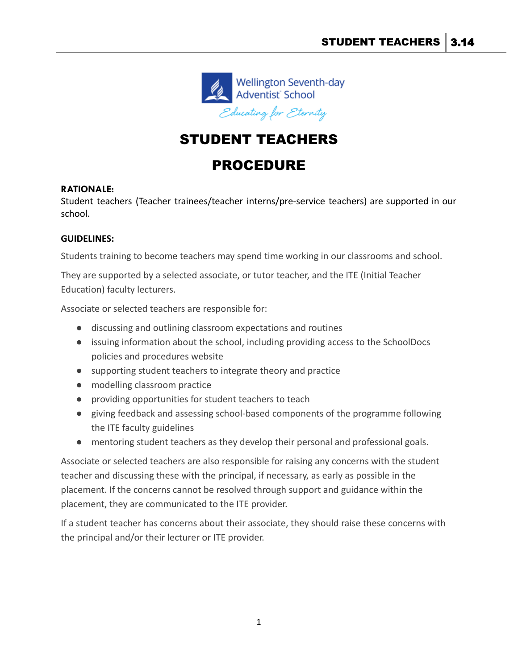

## STUDENT TEACHERS

## PROCEDURE

## **RATIONALE:**

Student teachers (Teacher trainees/teacher interns/pre-service teachers) are supported in our school.

## **GUIDELINES:**

Students training to become teachers may spend time working in our classrooms and school.

They are supported by a selected associate, or tutor teacher, and the ITE (Initial Teacher Education) faculty lecturers.

Associate or selected teachers are responsible for:

- discussing and outlining classroom expectations and routines
- issuing information about the school, including providing access to the SchoolDocs policies and procedures website
- supporting student teachers to integrate theory and practice
- modelling classroom practice
- providing opportunities for student teachers to teach
- giving feedback and assessing school-based components of the programme following the ITE faculty guidelines
- mentoring student teachers as they develop their personal and professional goals.

Associate or selected teachers are also responsible for raising any concerns with the student teacher and discussing these with the principal, if necessary, as early as possible in the placement. If the concerns cannot be resolved through support and guidance within the placement, they are communicated to the ITE provider.

If a student teacher has concerns about their associate, they should raise these concerns with the principal and/or their lecturer or ITE provider.